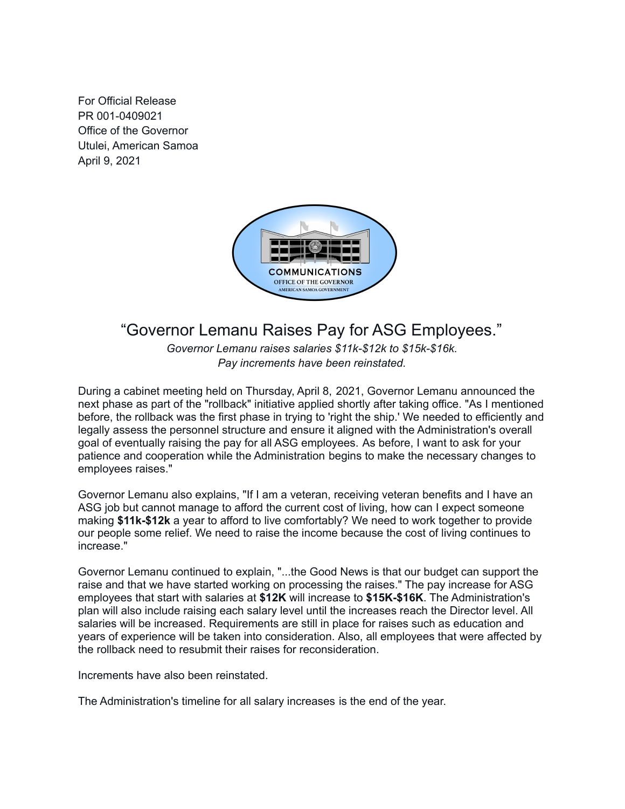For Official Release PR 001-0409021 Office of the Governor Utulei, American Samoa April 9, 2021



## "Governor Lemanu Raises Pay for ASG Employees."

*Governor Lemanu raises salaries \$11k-\$12k to \$15k-\$16k. Pay increments have been reinstated.*

During a cabinet meeting held on Thursday, April 8, 2021, Governor Lemanu announced the next phase as part of the "rollback" initiative applied shortly after taking office. "As I mentioned before, the rollback was the first phase in trying to 'right the ship.' We needed to efficiently and legally assess the personnel structure and ensure it aligned with the Administration's overall goal of eventually raising the pay for all ASG employees. As before, I want to ask for your patience and cooperation while the Administration begins to make the necessary changes to employees raises."

Governor Lemanu also explains, "If I am a veteran, receiving veteran benefits and I have an ASG job but cannot manage to afford the current cost of living, how can I expect someone making **\$11k-\$12k** a year to afford to live comfortably? We need to work together to provide our people some relief. We need to raise the income because the cost of living continues to increase."

Governor Lemanu continued to explain, "...the Good News is that our budget can support the raise and that we have started working on processing the raises." The pay increase for ASG employees that start with salaries at **\$12K** will increase to **\$15K-\$16K**. The Administration's plan will also include raising each salary level until the increases reach the Director level. All salaries will be increased. Requirements are still in place for raises such as education and years of experience will be taken into consideration. Also, all employees that were affected by the rollback need to resubmit their raises for reconsideration.

Increments have also been reinstated.

The Administration's timeline for all salary increases is the end of the year.